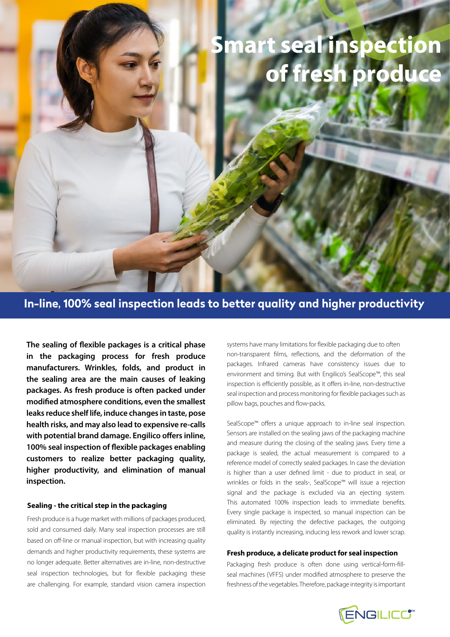# **Smart seal inspection of fresh produce**

**In-line, 100% seal inspection leads to better quality and higher productivity**

**The sealing of flexible packages is a critical phase in the packaging process for fresh produce manufacturers. Wrinkles, folds, and product in the sealing area are the main causes of leaking packages. As fresh produce is often packed under modified atmosphere conditions, even the smallest leaks reduce shelf life, induce changes in taste, pose health risks, and may also lead to expensive re-calls with potential brand damage. Engilico offers inline, 100% seal inspection of flexible packages enabling customers to realize better packaging quality, higher productivity, and elimination of manual inspection.** 

### **Sealing - the critical step in the packaging**

Fresh produce is a huge market with millions of packages produced, sold and consumed daily. Many seal inspection processes are still based on off-line or manual inspection, but with increasing quality demands and higher productivity requirements, these systems are no longer adequate. Better alternatives are in-line, non-destructive seal inspection technologies, but for flexible packaging these are challenging. For example, standard vision camera inspection systems have many limitations for flexible packaging due to often non-transparent films, reflections, and the deformation of the packages. Infrared cameras have consistency issues due to environment and timing. But with Engilico's SealScope™, this seal inspection is efficiently possible, as it offers in-line, non-destructive seal inspection and process monitoring for flexible packages such as pillow bags, pouches and flow-packs.

SealScope<sup>™</sup> offers a unique approach to in-line seal inspection. Sensors are installed on the sealing jaws of the packaging machine and measure during the closing of the sealing jaws. Every time a package is sealed, the actual measurement is compared to a reference model of correctly sealed packages. In case the deviation is higher than a user defined limit - due to product in seal, or wrinkles or folds in the seals-, SealScope™ will issue a rejection signal and the package is excluded via an ejecting system. This automated 100% inspection leads to immediate benefits. Every single package is inspected, so manual inspection can be eliminated. By rejecting the defective packages, the outgoing quality is instantly increasing, inducing less rework and lower scrap.

#### **Fresh produce, a delicate product for seal inspection**

Packaging fresh produce is often done using vertical-form-fillseal machines (VFFS) under modified atmosphere to preserve the freshness of the vegetables. Therefore, package integrity is important